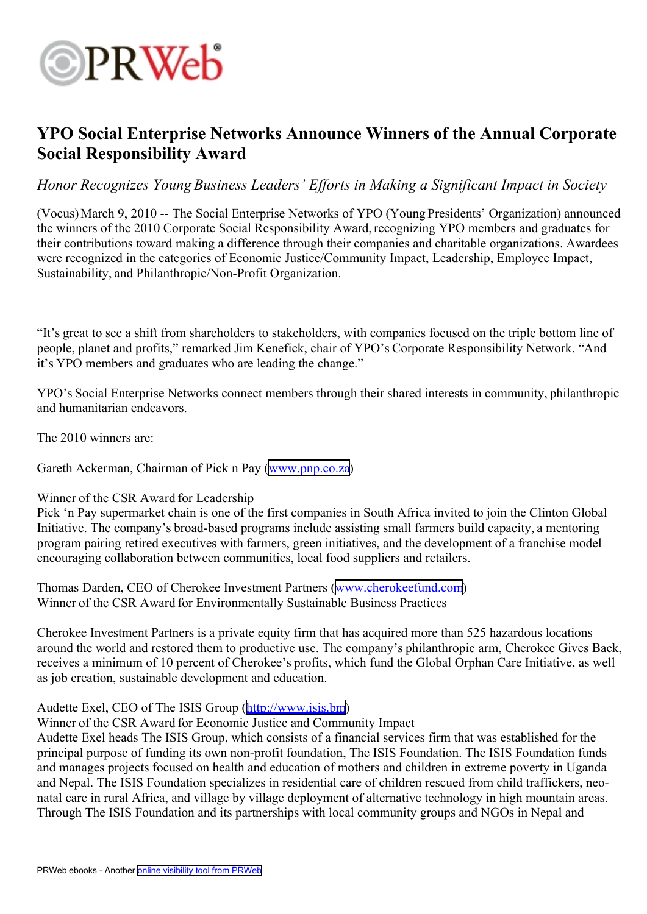

## **YPO Social Enterprise Networks Announce Winners of the Annual Corporate Social Responsibility Award**

*Honor Recognizes Young Business Leaders' Efforts in Making <sup>a</sup> Significant Impact in Society*

(Vocus)March 9, 2010 -- The Social Enterprise Networks of YPO (Young Presidents' Organization) announced the winners of the 2010 Corporate Social Responsibility Award, recognizing YPO members and graduates for their contributions toward making <sup>a</sup> difference through their companies and charitable organizations. Awardees were recognized in the categories of Economic Justice/Community Impact, Leadership, Employee Impact, Sustainability, and Philanthropic/Non-Profit Organization.

"It's grea<sup>t</sup> to see <sup>a</sup> shift from shareholders to stakeholders, with companies focused on the triple bottom line of people, planet and profits," remarked Jim Kenefick, chair of YPO's Corporate Responsibility Network. "And it's YPO members and graduates who are leading the change."

YPO's Social Enterprise Networks connect members through their shared interests in community, philanthropic and humanitarian endeavors.

The 2010 winners are:

Gareth Ackerman, Chairman of Pick <sup>n</sup> Pay [\(www.pnp.co.za](http://www.pnp.co.za))

### Winner of the CSR Award for Leadership

Pick 'n Pay supermarket chain is one of the first companies in South Africa invited to join the Clinton Global Initiative. The company's broad-based programs include assisting small farmers build capacity, <sup>a</sup> mentoring program pairing retired executives with farmers, green initiatives, and the development of <sup>a</sup> franchise model encouraging collaboration between communities, local food suppliers and retailers.

Thomas Darden, CEO of Cherokee Investment Partners ([www.cherokeefund.com](http://www.cherokeefund.com)) Winner of the CSR Award for Environmentally Sustainable Business Practices

Cherokee Investment Partners is <sup>a</sup> private equity firm that has acquired more than 525 hazardous locations around the world and restored them to productive use. The company's philanthropic arm, Cherokee Gives Back, receives <sup>a</sup> minimum of 10 percen<sup>t</sup> of Cherokee's profits, which fund the Global Orphan Care Initiative, as well as job creation, sustainable development and education.

Audette Exel, CEO of The ISIS Group (<http://www.isis.bm>)

Winner of the CSR Award for Economic Justice and Community Impact

Audette Exel heads The ISIS Group, which consists of <sup>a</sup> financial services firm that was established for the principal purpose of funding its own non-profit foundation, The ISIS Foundation. The ISIS Foundation funds and manages projects focused on health and education of mothers and children in extreme poverty in Uganda and Nepal. The ISIS Foundation specializes in residential care of children rescued from child traffickers, neonatal care in rural Africa, and village by village deployment of alternative technology in high mountain areas. Through The ISIS Foundation and its partnerships with local community groups and NGOs in Nepal and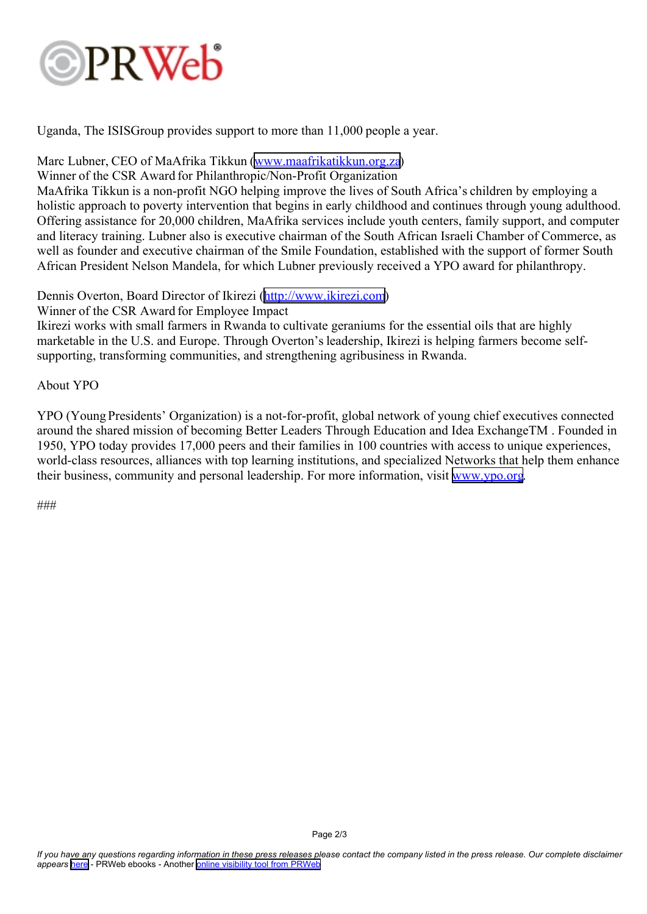# PRWeb

Uganda, The ISISGroup provides suppor<sup>t</sup> to more than 11,000 people <sup>a</sup> year.

### Marc Lubner, CEO of MaAfrika Tikkun ([www.maafrikatikkun.org.za](http://www.maafrikatikkun.org.za))

Winner of the CSR Award for Philanthropic/Non-Profit Organization

MaAfrika Tikkun is <sup>a</sup> non-profit NGO helping improve the lives of South Africa's children by employing <sup>a</sup> holistic approach to poverty intervention that begins in early childhood and continues through young adulthood. Offering assistance for 20,000 children, MaAfrika services include youth centers, family support, and computer and literacy training. Lubner also is executive chairman of the South African Israeli Chamber of Commerce, as well as founder and executive chairman of the Smile Foundation, established with the suppor<sup>t</sup> of former South African President Nelson Mandela, for which Lubner previously received <sup>a</sup> YPO award for philanthropy.

Dennis Overton, Board Director of Ikirezi (<http://www.ikirezi.com>)

Winner of the CSR Award for Employee Impact

Ikirezi works with small farmers in Rwanda to cultivate geraniums for the essential oils that are highly marketable in the U.S. and Europe. Through Overton's leadership, Ikirezi is helping farmers become selfsupporting, transforming communities, and strengthening agribusiness in Rwanda.

About YPO

YPO (Young Presidents' Organization) is <sup>a</sup> not-for-profit, global network of young chief executives connected around the shared mission of becoming Better Leaders Through Education and Idea ExchangeTM . Founded in 1950, YPO today provides 17,000 peers and their families in 100 countries with access to unique experiences, world-class resources, alliances with top learning institutions, and specialized Networks that help them enhance their business, community and personal leadership. For more information, visit [www.ypo.org](http://www.ypo.org).

###